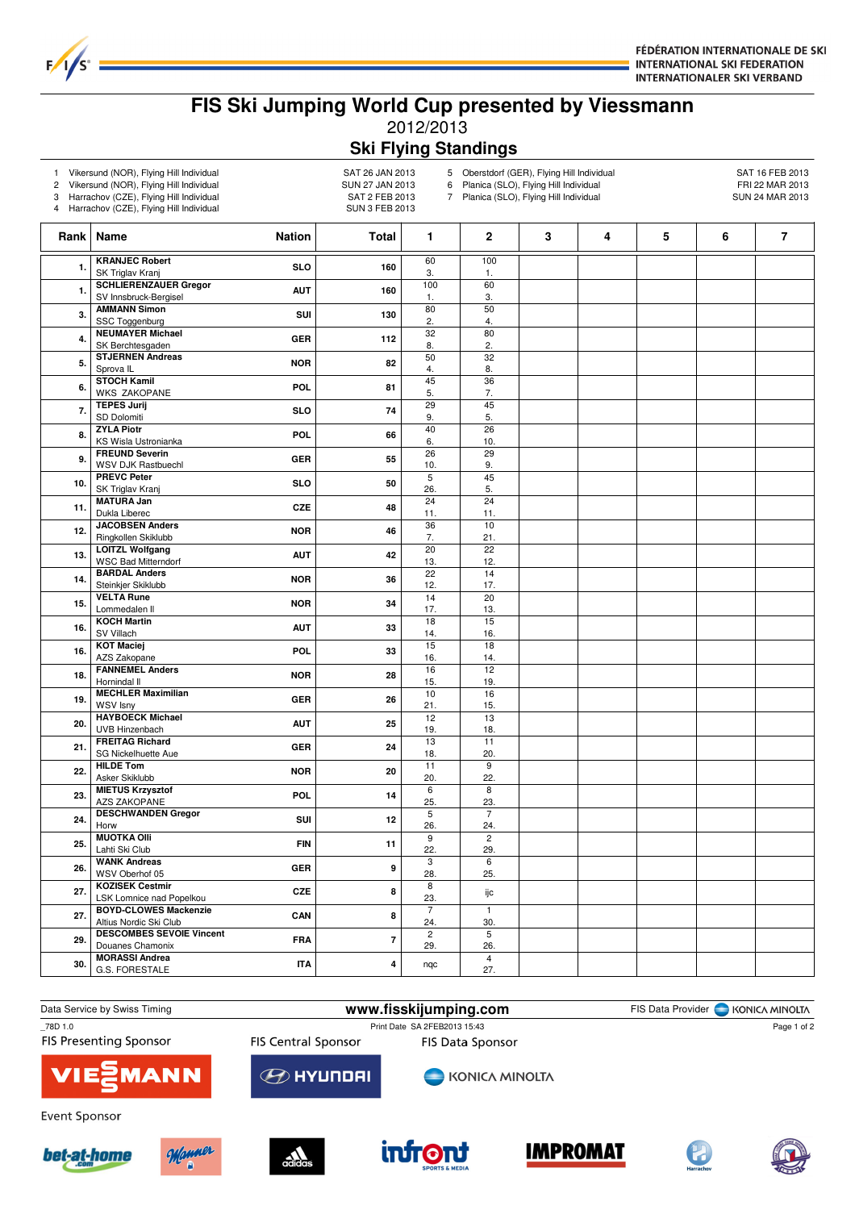

## **FIS Ski Jumping World Cup presented by Viessmann** 2012/2013 **Ski Flying Standings**

- 
- 1 Vikersund (NOR), Flying Hill Individual SAT 26 JAN 2013<br>2 Vikersund (NOR), Flying Hill Individual SAT 27 JAN 2013 2 Vikersund (NOR), Flying Hill Individual SUN 27 JAN 2013<br>3 Harrachov (CZE), Flying Hill Individual SAT 2 FEB 2013

 $F/1/s$ 

Harrachov (CZE), Flying Hill Individual

4 Harrachov (CZE), Flying Hill Individual SUN 3 FEB 2013

5 Oberstdorf (GER), Flying Hill Individual 6 Planica (SLO), Flying Hill Individual 6 Planica (SLO), Flying Hill Individual 6 Planica (SLO), Flying Hill Individual 6 Planica (SLO), Flying Hill Individual 6 Planica (SLO), Fl 6 Planica (SLO), Flying Hill Individual FRI 22 MAR 2013<br>7 Planica (SLO), Flying Hill Individual SUN 24 MAR 2013

Planica (SLO), Flying Hill Individual

|              | Rank   Name                                            | <b>Nation</b> | <b>Total</b>            | 1                      | $\mathbf 2$            | 3 | 4 | 5 | 6 | $\overline{\mathbf{r}}$ |
|--------------|--------------------------------------------------------|---------------|-------------------------|------------------------|------------------------|---|---|---|---|-------------------------|
| $\mathbf{1}$ | <b>KRANJEC Robert</b><br>SK Triglav Kranj              | <b>SLO</b>    | 160                     | 60<br>3.               | 100<br>1.              |   |   |   |   |                         |
| 1.           | <b>SCHLIERENZAUER Gregor</b><br>SV Innsbruck-Bergisel  | <b>AUT</b>    | 160                     | 100<br>1.              | 60<br>3.               |   |   |   |   |                         |
| 3.           | <b>AMMANN Simon</b>                                    | SUI           | 130                     | 80                     | 50                     |   |   |   |   |                         |
| 4.           | SSC Toggenburg<br><b>NEUMAYER Michael</b>              | <b>GER</b>    | 112                     | 2.<br>$\overline{32}$  | 4.<br>80               |   |   |   |   |                         |
| 5.           | SK Berchtesgaden<br><b>STJERNEN Andreas</b>            | <b>NOR</b>    | 82                      | 8.<br>50               | 2.<br>32               |   |   |   |   |                         |
| 6.           | Sprova <sub>IL</sub><br><b>STOCH Kamil</b>             | POL           | 81                      | 4.<br>45               | 8.<br>36               |   |   |   |   |                         |
| 7.           | <b>WKS ZAKOPANE</b><br><b>TEPES Jurij</b>              | <b>SLO</b>    | 74                      | 5.<br>29               | 7.<br>45               |   |   |   |   |                         |
| 8.           | SD Dolomiti<br><b>ZYLA Piotr</b>                       | <b>POL</b>    | 66                      | 9.<br>40               | 5.<br>26               |   |   |   |   |                         |
| 9.           | KS Wisla Ustronianka<br><b>FREUND Severin</b>          | <b>GER</b>    | 55                      | 6.<br>$\overline{26}$  | 10.<br>$\overline{29}$ |   |   |   |   |                         |
| 10.          | <b>WSV DJK Rastbuechl</b><br><b>PREVC Peter</b>        | <b>SLO</b>    | 50                      | 10.<br>$5\overline{5}$ | 9.<br>45               |   |   |   |   |                         |
| 11.          | SK Triglav Kranj<br><b>MATURA Jan</b>                  | <b>CZE</b>    | 48                      | 26.<br>24              | 5.<br>24               |   |   |   |   |                         |
|              | Dukla Liberec<br><b>JACOBSEN Anders</b>                |               |                         | 11.<br>36              | 11.<br>10              |   |   |   |   |                         |
| 12.          | Ringkollen Skiklubb<br><b>LOITZL Wolfgang</b>          | <b>NOR</b>    | 46                      | 7.<br>20               | 21.<br>22              |   |   |   |   |                         |
| 13.          | <b>WSC Bad Mitterndorf</b><br><b>BARDAL Anders</b>     | <b>AUT</b>    | 42                      | 13.<br>$\overline{22}$ | 12.<br>14              |   |   |   |   |                         |
| 14.          | Steinkjer Skiklubb<br><b>VELTA Rune</b>                | <b>NOR</b>    | 36                      | 12.<br>14              | 17.<br>20              |   |   |   |   |                         |
| 15.          | Lommedalen II<br><b>KOCH Martin</b>                    | <b>NOR</b>    | 34                      | 17.<br>18              | 13.<br>15              |   |   |   |   |                         |
| 16.          | SV Villach                                             | <b>AUT</b>    | 33                      | 14.                    | 16.<br>18              |   |   |   |   |                         |
| 16.          | <b>KOT Maciej</b><br>AZS Zakopane                      | POL           | 33                      | 15<br>16.              | 14.                    |   |   |   |   |                         |
| 18.          | <b>FANNEMEL Anders</b><br>Hornindal II                 | <b>NOR</b>    | 28                      | 16<br>15.              | 12<br>19.              |   |   |   |   |                         |
| 19.          | <b>MECHLER Maximilian</b><br><b>WSV Isny</b>           | <b>GER</b>    | 26                      | 10<br>21.              | 16<br>15.              |   |   |   |   |                         |
| 20.          | <b>HAYBOECK Michael</b><br>UVB Hinzenbach              | <b>AUT</b>    | 25                      | 12<br>19.              | 13<br>18.              |   |   |   |   |                         |
| 21.          | <b>FREITAG Richard</b><br>SG Nickelhuette Aue          | <b>GER</b>    | 24                      | 13<br>18.              | 11<br>20.              |   |   |   |   |                         |
| 22.          | <b>HILDE Tom</b><br>Asker Skiklubb                     | <b>NOR</b>    | 20                      | 11<br>20.              | $\overline{9}$<br>22.  |   |   |   |   |                         |
| 23.          | <b>MIETUS Krzysztof</b><br><b>AZS ZAKOPANE</b>         | POL           | 14                      | 6<br>25.               | 8<br>23.               |   |   |   |   |                         |
| 24.          | <b>DESCHWANDEN Gregor</b><br>Horw                      | SUI           | 12                      | $\overline{5}$<br>26.  | $\overline{7}$<br>24.  |   |   |   |   |                         |
| 25.          | <b>MUOTKA OIII</b><br>Lahti Ski Club                   | <b>FIN</b>    | 11                      | $\overline{9}$<br>22.  | $\overline{2}$<br>29.  |   |   |   |   |                         |
| 26.          | <b>WANK Andreas</b><br>WSV Oberhof 05                  | <b>GER</b>    | 9                       | 3<br>28.               | 6<br>25.               |   |   |   |   |                         |
| 27.          | <b>KOZISEK Cestmir</b><br>LSK Lomnice nad Popelkou     | <b>CZE</b>    | 8                       | 8<br>23.               | ijс                    |   |   |   |   |                         |
| 27.          | <b>BOYD-CLOWES Mackenzie</b><br>Altius Nordic Ski Club | CAN           | 8                       | $\overline{7}$<br>24.  | $\mathbf{1}$<br>30.    |   |   |   |   |                         |
| 29.          | <b>DESCOMBES SEVOIE Vincent</b><br>Douanes Chamonix    | <b>FRA</b>    | $\overline{7}$          | $\overline{2}$<br>29.  | $\overline{5}$<br>26.  |   |   |   |   |                         |
| 30.          | <b>MORASSI Andrea</b><br>G.S. FORESTALE                | <b>ITA</b>    | $\overline{\mathbf{4}}$ | nqc                    | $\overline{4}$<br>27.  |   |   |   |   |                         |
|              |                                                        |               |                         |                        |                        |   |   |   |   |                         |